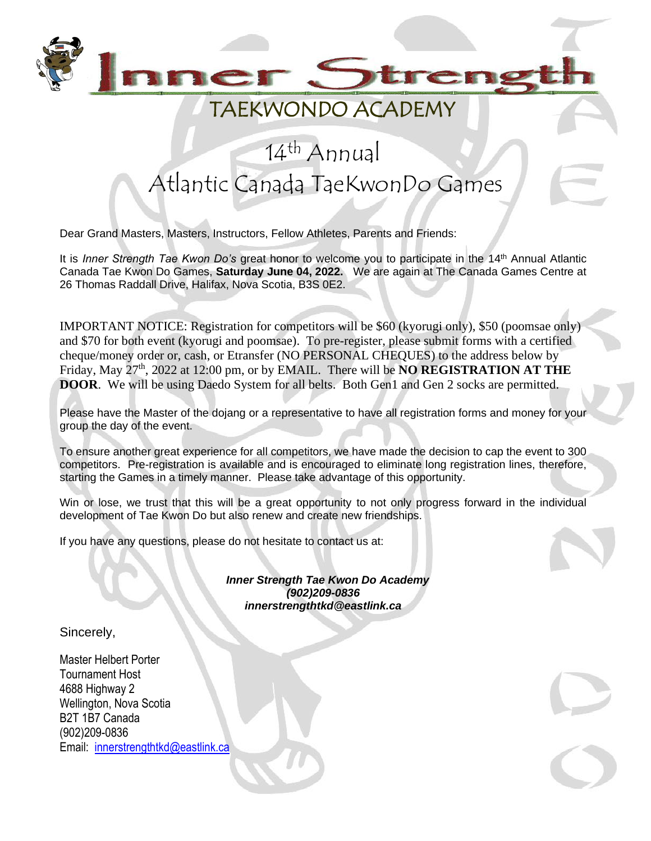

#### TAEKWONDO ACADEMY

## 14<sup>th</sup> Annual Atlantic Canada TaeKwonDo Games

Dear Grand Masters, Masters, Instructors, Fellow Athletes, Parents and Friends:

It is *Inner Strength Tae Kwon Do's* great honor to welcome you to participate in the 14<sup>th</sup> Annual Atlantic Canada Tae Kwon Do Games, **Saturday June 04, 2022.** We are again at The Canada Games Centre at 26 Thomas Raddall Drive, Halifax, Nova Scotia, B3S 0E2.

IMPORTANT NOTICE: Registration for competitors will be \$60 (kyorugi only), \$50 (poomsae only) and \$70 for both event (kyorugi and poomsae). To pre-register, please submit forms with a certified cheque/money order or, cash, or Etransfer (NO PERSONAL CHEQUES) to the address below by Friday, May 27th, 2022 at 12:00 pm, or by EMAIL. There will be **NO REGISTRATION AT THE DOOR.** We will be using Daedo System for all belts. Both Gen1 and Gen 2 socks are permitted.

Please have the Master of the dojang or a representative to have all registration forms and money for your group the day of the event.

To ensure another great experience for all competitors, we have made the decision to cap the event to 300 competitors. Pre-registration is available and is encouraged to eliminate long registration lines, therefore, starting the Games in a timely manner. Please take advantage of this opportunity.

Win or lose, we trust that this will be a great opportunity to not only progress forward in the individual development of Tae Kwon Do but also renew and create new friendships.

If you have any questions, please do not hesitate to contact us at:



 *Inner Strength Tae Kwon Do Academy (902)209-0836 innerstrengthtkd@eastlink.ca*

Sincerely,

Master Helbert Porter Tournament Host 4688 Highway 2 Wellington, Nova Scotia B2T 1B7 Canada (902)209-0836 Email: [innerstrengthtkd@eastlink.ca](mailto:innerstrengthtkd@eastlink.ca)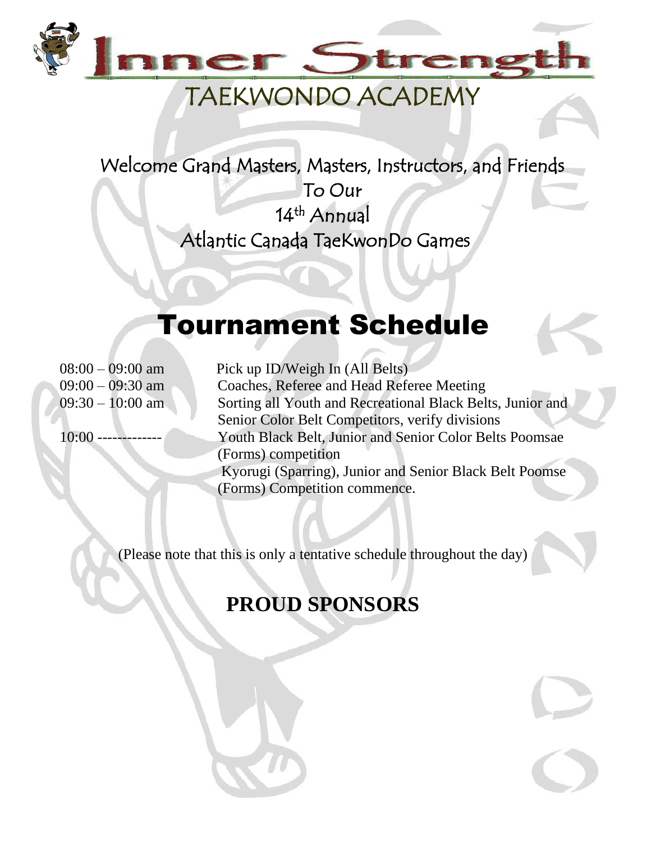

## TAEKWONDO ACADEMY

Welcome Grand Masters, Masters, Instructors, and Friends To Our 14<sup>th</sup> Annual Atlantic Canada TaeKwonDo Games

# Tournament Schedule

08:00 – 09:00 am Pick up ID/Weigh In (All Belts) 09:00 – 09:30 am Coaches, Referee and Head Referee Meeting 09:30 – 10:00 am Sorting all Youth and Recreational Black Belts, Junior and Senior Color Belt Competitors, verify divisions 10:00 ------------- Youth Black Belt, Junior and Senior Color Belts Poomsae (Forms) competition Kyorugi (Sparring), Junior and Senior Black Belt Poomse (Forms) Competition commence.

(Please note that this is only a tentative schedule throughout the day)

### **PROUD SPONSORS**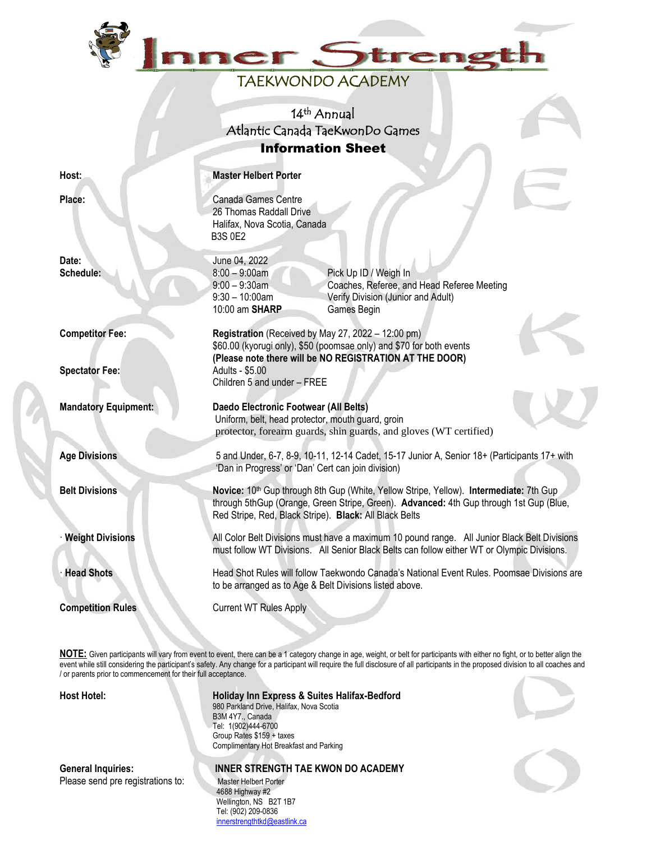

#### TAEKWONDO ACADEMY

14<sup>th</sup> Annual Atlantic Canada TaeKwonDo Games Information Sheet

9:00 – 9:30am Coaches, Referee, and Head Referee Meeting

9:30 – 10:00am Verify Division (Junior and Adult)

\$60.00 (kyorugi only), \$50 (poomsae only) and \$70 for both events **(Please note there will be NO REGISTRATION AT THE DOOR)**

protector, forearm guards, shin guards, and gloves (WT certified)

10:00 am **SHARP** Games Begin

Uniform, belt, head protector, mouth guard, groin

Children 5 and under – FREE

**Host: Master Helbert Porter** 

B3S 0E2

26 Thomas Raddall Drive Halifax, Nova Scotia, Canada

**Place:** Canada Games Centre

**Date:** June 04, 2022 **Schedule:** 8:00 – 9:00am Pick Up ID / Weigh In

**Competitor Fee: Registration** (Received by May 27, 2022 – 12:00 pm)

**Spectator Fee:** Adults - \$5.00

**Mandatory Equipment: Daedo Electronic Footwear (All Belts)**

**Age Divisions** 5 and Under, 6-7, 8-9, 10-11, 12-14 Cadet, 15-17 Junior A, Senior 18+ (Participants 17+ with

'Dan in Progress' or 'Dan' Cert can join division) **Belt Divisions Novice: 10<sup>th</sup> Gup through 8th Gup (White, Yellow Stripe, Yellow). Intermediate: 7th Gup (White, Yellow Stripe, Yellow).** 

through 5thGup (Orange, Green Stripe, Green). **Advanced:** 4th Gup through 1st Gup (Blue, Red Stripe, Red, Black Stripe). **Black:** All Black Belts

· **Weight Divisions** All Color Belt Divisions must have a maximum 10 pound range. All Junior Black Belt Divisions must follow WT Divisions. All Senior Black Belts can follow either WT or Olympic Divisions.

· **Head Shots** Head Shot Rules will follow Taekwondo Canada's National Event Rules. Poomsae Divisions are to be arranged as to Age & Belt Divisions listed above.

**Competition Rules Current WT Rules Apply** 

**NOTE:** Given participants will vary from event to event, there can be a 1 category change in age, weight, or belt for participants with either no fight, or to better align the event while still considering the participant's safety. Any change for a participant will require the full disclosure of all participants in the proposed division to all coaches and / or parents prior to commencement for their full acceptance.

**Host Hotel: Holiday Inn Express & Suites Halifax-Bedford** 980 Parkland Drive, Halifax, Nova Scotia B3M 4Y7., Canada Tel: 1(902)444-6700 Group Rates \$159 + taxes Complimentary Hot Breakfast and Parking

Please send pre registrations to: Master Helbert Porter

**General Inquiries: INNER STRENGTH TAE KWON DO ACADEMY**

 4688 Highway #2 Wellington, NS B2T 1B7 Tel: (902) 209-0836  [innerstrengthtkd@eastlink.ca](mailto:innerstrengthtkd@eastlink.ca)